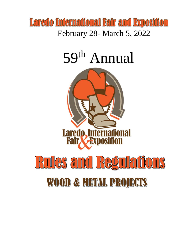

# 59<sup>th</sup> Annual

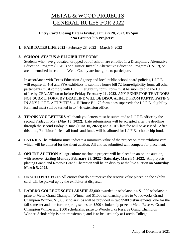# METAL & WOOD PROJECTS GENERAL RULES FOR 2022

#### **Entry Card Closing Date is Friday, January 28, 2022, by 5pm. \*No Group/Club Projects\***

#### **1. FAIR DATES LIFE 2022** - February 28, 2022 – March 5, 2022

#### **2. SCHOOL STATUS & ELIGIBILITY FORM**

Students who have graduated, dropped out of school, are enrolled in a Disciplinary Alternative Education Program (DAEP) or a Justice Juvenile Alternative Education Program (JJAEP), or are not enrolled in school in Webb County are ineligible to participate.

In accordance with Texas Education Agency and local public school board policies, L.I.F.E. will require all 4-H and FFA exhibitors to submit a house bill 72 form/eligibility form; all other participants must comply with L.I.F.E. eligibility form. Form must be submitted to the L.I.F.E. office by CEA/AST on or before **Friday February 11, 2022**. ANY EXHIBITOR THAT DOES NOT SUBMIT FORM BY DEADLINE WILL BE DISQUALIFIED FROM PARTICIPATING IN ANY L.I.F.E. ACTIVITIES. 4-H House Bill 72 form does supersede the L.I.F.E. eligibility form and must still be turned in to 4-H extension office.

- **3. THANK YOU LETTERS** All thank you letters must be submitted to L.I.F.E. office by the second Friday in May **(May 13, 2022).** Late submissions will be accepted after the deadline through the second Friday in June **(June 10, 2022);** and a 10% late fee will be assessed. After this time, Exhibitor forfeits all funds and funds will be allotted for L.I.F.E. scholarship fund.
- **4. ENTRIES** The exhibitor must indicate a minimum value of the project on their exhibitor card which will be utilized for the silent auction. All entries submitted will compete for placement.
- **5. ONLINE AUCTION** All agriculture mechanic projects will be placed in an online auction, with reserve, starting **Monday February 28, 2022 - Saturday, March 5, 2022.** All projects placing Grand and Reserve Grand Champion will be on display at the live auction on **Saturday March 5, 2022.**
- **6. UNSOLD PROJECTS** All entries that do not receive the reserve value placed on the exhibit card, will be picked up by the exhibitor at dispersal.
- **7. LAREDO COLLEGE SCHOLARSHIP** \$3,000 awarded in scholarships. \$1,000 scholarship prize to Metal Grand Champion Winner and \$1,000 scholarship prize to Woodworks Grand Champion Winner. \$1,000 scholarships will be provided in two \$500 disbursements, one for the fall semester and one for the spring semester. \$500 scholarship prize to Metal Reserve Grand Champion Winner and \$500 scholarship prize to Woodworks Reserve Grand Champion Winner. Scholarship is non-transferable; and is to be used only at Laredo College.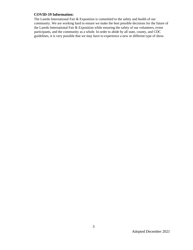#### **COVID-19 Information:**

The Laredo International Fair & Exposition is committed to the safety and health of our community. We are working hard to ensure we make the best possible decisions for the future of the Laredo International Fair & Exposition while ensuring the safety of our volunteers, event participants, and the community as a whole. In order to abide by all state, county, and CDC guidelines, it is very possible that we may have to experience a new or different type of show.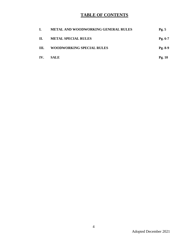## **TABLE OF CONTENTS**

| L.  | METAL AND WOODWORKING GENERAL RULES | Pg.5      |
|-----|-------------------------------------|-----------|
| П.  | <b>METAL SPECIAL RULES</b>          | $Pg. 6-7$ |
| Ш.  | <b>WOODWORKING SPECIAL RULES</b>    | $Pg. 8-9$ |
| IV. | <b>SALE</b>                         | Pg. $10$  |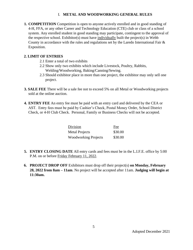#### I. **METAL AND WOODWORKING GENERAL RULES**

**1. COMPETITION** Competition is open to anyone actively enrolled and in good standing of 4-H, FFA, or any other Career and Technology Education (CTE) club or class of a school system. Any enrolled student in good standing may participate, contingent to the approval of the respective school. Exhibitor(s) must have individually built the project(s) in Webb County in accordance with the rules and regulations set by the Laredo International Fair  $\&$ Exposition.

#### **2. LIMIT OF ENTRIES**

- 2.1 Enter a total of two exhibits
- 2.2 Show only two exhibits which include Livestock, Poultry, Rabbits, Welding/Woodworking, Baking/Canning/Sewing.
- 2.3 Should exhibitor place in more than one project, the exhibitor may only sell one project.
- **3. SALE FEE** There will be a sale fee not to exceed 5% on all Metal or Woodworking projects sold at the online auction.
- **4. ENTRY FEE** An entry fee must be paid with an entry card and delivered by the CEA or AST. Entry fees must be paid by Cashier's Check, Postal Money Order, School District Check, or 4-H Club Check. Personal, Family or Business Checks will not be accepted.

| Division                    | Fee     |
|-----------------------------|---------|
| <b>Metal Projects</b>       | \$30.00 |
| <b>Woodworking Projects</b> | \$30.00 |

- **5. ENTRY CLOSING DATE** All entry cards and fees must be in the L.I.F.E. office by 5:00 P.M. on or before Friday February 11, 2022.
- **6. PROJECT DROP OFF** Exhibitors must drop off their project(s) **on Monday, February 28, 2022 from 8am – 11am**. No project will be accepted after 11am. **Judging will begin at 11:30am.**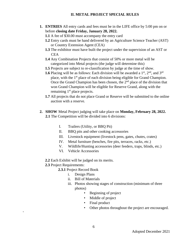#### **II. METAL PROJECT SPECIAL RULES**

- **1. ENTRIES** All entry cards and fees must be in the LIFE office by 5:00 pm on or before **closing date Friday, January 28, 2022.**
	- **1.1** A fee of \$30.00 must accompany the entry card
	- **1.2** Entry cards must be hand delivered by an Agriculture Science Teacher (AST) or Country Extension Agent (CEA)
	- **1.3** The exhibitor must have built the project under the supervision of an AST or CEA
	- **1.4** Any Combination Projects that consist of 50% or more metal will be categorized into Metal projects (the judge will determine this)
	- **1.5** Projects are subject to re-classification by judge at the time of show.
	- **1.6** Placing will be as follows: Each division will be awarded a  $1<sup>st</sup>$ ,  $2<sup>nd</sup>$ , and  $3<sup>rd</sup>$ place, with the 1<sup>st</sup> place of each division being eligible for Grand Champion. Once the Grand Champion has been chosen, the  $2<sup>nd</sup>$  place of the division that won Grand Champion will be eligible for Reserve Grand, along with the remaining  $1<sup>st</sup>$  place projects.
	- **1.7** All projects that do not place Grand or Reserve will be submitted to the online auction with a reserve.
- **2. SHOW** Metal Project judging will take place on **Monday, February 28, 2022. 2.1** The Competition will be divided into 6 divisions:
	- I. Trailers (Utility, or BBQ Pit)
	- II. BBQ pits and other cooking accessories
	- III. Livestock equipment (livestock pens, gates, chutes, crates)
	- IV. Metal furniture (benches, fire pits, terraces, racks, etc.)
	- V. Wildlife/Hunting accessories (deer feeders, traps, blinds, etc.)
	- VI. Vehicle Accessories
	- **2.2** Each Exhibit will be judged on its merits.
	- **2.3** Project Requirements:

 $\epsilon$ 

- **2.3.1** Project Record Book
	- i. Design Plans
	- ii. Bill of Materials
	- iii. Photos showing stages of construction (minimum of three photos)
		- Beginning of project
		- Middle of project
		- Final product
		- Other photos throughout the project are encouraged.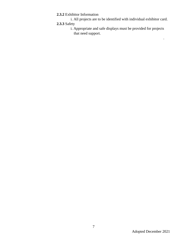## **2.3.2** Exhibitor Information

i. All projects are to be identified with individual exhibitor card.

## **2.3.3** Safety

i. Appropriate and safe displays must be provided for projects that need support.

.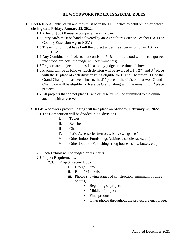#### **III. WOODWORK PROJECTS SPECIAL RULES**

- **1. ENTRIES** All entry cards and fees must be in the LIFE office by 5:00 pm on or before **closing date Friday, January 28, 2022.**
	- **1.1** A fee of \$30.00 must accompany the entry card
	- **1.2** Entry cards must be hand delivered by an Agriculture Science Teacher (AST) or Country Extension Agent (CEA)
	- **1.3** The exhibitor must have built the project under the supervision of an AST or CEA
	- **1.4** Any Combination Projects that consist of 50% or more wood will be categorized into wood projects (the judge will determine this)
	- **1.5** Projects are subject to re-classification by judge at the time of show.
	- **1.6** Placing will be as follows: Each division will be awarded a  $1<sup>st</sup>$ ,  $2<sup>nd</sup>$ , and  $3<sup>rd</sup>$  place with the 1<sup>st</sup> place of each division being eligible for Grand Champion. Once the Grand Champion has been chosen, the  $2<sup>nd</sup>$  place of the division that won Grand Champion will be eligible for Reserve Grand, along with the remaining  $1<sup>st</sup>$  place projects.
	- **1.7** All projects that do not place Grand or Reserve will be submitted to the online auction with a reserve.
- **2. SHOW** Woodwork project judging will take place on **Monday, February 28, 2022. 2.1** The Competition will be divided into 6 divisions
	- I. Tables
	- II. Benches
	- III. Chairs
	- IV. Patio Accessories (terraces, bars, swings, etc)
	- V. Other Indoor Furnishings (cabinets, saddle racks, etc)
	- VI. Other Outdoor Furnishings (dog houses, show boxes, etc.)
	- **2.2** Each Exhibit will be judged on its merits.
	- **2.3** Project Requirements:
		- **2.3.1** Project Record Book
			- i. Design Plans
			- ii. Bill of Materials
			- iii. Photos showing stages of construction (minimum of three photos)
				- Beginning of project
				- Middle of project
				- Final product
				- Other photos throughout the project are encourage.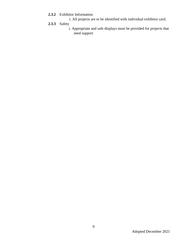- **2.3.2** Exhibitor Information
	- i. All projects are to be identified with individual exhibitor card.
- **2.3.3** Safety
	- i. Appropriate and safe displays must be provided for projects that need support